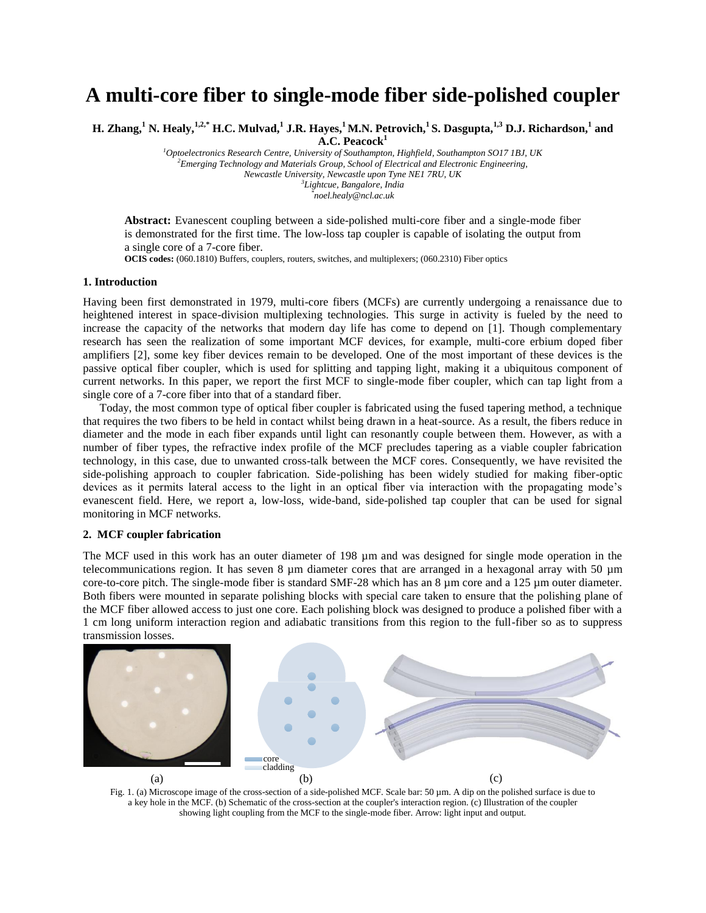# **A multi-core fiber to single-mode fiber side-polished coupler**

**H. Zhang,<sup>1</sup> N. Healy,1,2,\* H.C. Mulvad,<sup>1</sup> J.R. Hayes,<sup>1</sup>M.N. Petrovich,<sup>1</sup>S. Dasgupta,1,3 D.J. Richardson,<sup>1</sup> and** 

**A.C. Peacock<sup>1</sup>**

*<sup>1</sup>Optoelectronics Research Centre, University of Southampton, Highfield, Southampton SO17 1BJ, UK <sup>2</sup>Emerging Technology and Materials Group, School of Electrical and Electronic Engineering, Newcastle University, Newcastle upon Tyne NE1 7RU, UK 3 Lightcue, Bangalore, India \* noel.healy@ncl.ac.uk*

**Abstract:** Evanescent coupling between a side-polished multi-core fiber and a single-mode fiber is demonstrated for the first time. The low-loss tap coupler is capable of isolating the output from a single core of a 7-core fiber.

**OCIS codes:** (060.1810) Buffers, couplers, routers, switches, and multiplexers; (060.2310) Fiber optics

#### **1. Introduction**

Having been first demonstrated in 1979, multi-core fibers (MCFs) are currently undergoing a renaissance due to heightened interest in space-division multiplexing technologies. This surge in activity is fueled by the need to increase the capacity of the networks that modern day life has come to depend on [1]. Though complementary research has seen the realization of some important MCF devices, for example, multi-core erbium doped fiber amplifiers [2], some key fiber devices remain to be developed. One of the most important of these devices is the passive optical fiber coupler, which is used for splitting and tapping light, making it a ubiquitous component of current networks. In this paper, we report the first MCF to single-mode fiber coupler, which can tap light from a single core of a 7-core fiber into that of a standard fiber.

Today, the most common type of optical fiber coupler is fabricated using the fused tapering method, a technique that requires the two fibers to be held in contact whilst being drawn in a heat-source. As a result, the fibers reduce in diameter and the mode in each fiber expands until light can resonantly couple between them. However, as with a number of fiber types, the refractive index profile of the MCF precludes tapering as a viable coupler fabrication technology, in this case, due to unwanted cross-talk between the MCF cores. Consequently, we have revisited the side-polishing approach to coupler fabrication. Side-polishing has been widely studied for making fiber-optic devices as it permits lateral access to the light in an optical fiber via interaction with the propagating mode's evanescent field. Here, we report a, low-loss, wide-band, side-polished tap coupler that can be used for signal monitoring in MCF networks.

## **2. MCF coupler fabrication**

The MCF used in this work has an outer diameter of 198  $\mu$ m and was designed for single mode operation in the telecommunications region. It has seven 8 µm diameter cores that are arranged in a hexagonal array with 50 µm core-to-core pitch. The single-mode fiber is standard SMF-28 which has an 8  $\mu$ m core and a 125  $\mu$ m outer diameter. Both fibers were mounted in separate polishing blocks with special care taken to ensure that the polishing plane of the MCF fiber allowed access to just one core. Each polishing block was designed to produce a polished fiber with a 1 cm long uniform interaction region and adiabatic transitions from this region to the full-fiber so as to suppress transmission losses.



Fig. 1. (a) Microscope image of the cross-section of a side-polished MCF. Scale bar: 50 µm. A dip on the polished surface is due to a key hole in the MCF. (b) Schematic of the cross-section at the coupler's interaction region. (c) Illustration of the coupler showing light coupling from the MCF to the single-mode fiber. Arrow: light input and output.